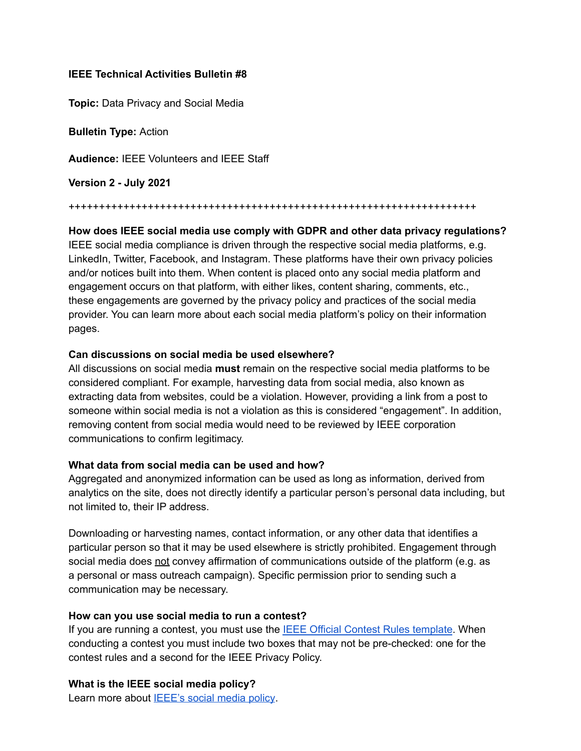## **IEEE Technical Activities Bulletin #8**

**Topic:** Data Privacy and Social Media

**Bulletin Type:** Action

**Audience:** IEEE Volunteers and IEEE Staff

**Version 2 - July 2021**

+++++++++++++++++++++++++++++++++++++++++++++++++++++++++++++++++++

**How does IEEE social media use comply with GDPR and other data privacy regulations?** IEEE social media compliance is driven through the respective social media platforms, e.g. LinkedIn, Twitter, Facebook, and Instagram. These platforms have their own privacy policies and/or notices built into them. When content is placed onto any social media platform and engagement occurs on that platform, with either likes, content sharing, comments, etc., these engagements are governed by the privacy policy and practices of the social media provider. You can learn more about each social media platform's policy on their information pages.

### **Can discussions on social media be used elsewhere?**

All discussions on social media **must** remain on the respective social media platforms to be considered compliant. For example, harvesting data from social media, also known as extracting data from websites, could be a violation. However, providing a link from a post to someone within social media is not a violation as this is considered "engagement". In addition, removing content from social media would need to be reviewed by IEEE corporation communications to confirm legitimacy.

# **What data from social media can be used and how?**

Aggregated and anonymized information can be used as long as information, derived from analytics on the site, does not directly identify a particular person's personal data including, but not limited to, their IP address.

Downloading or harvesting names, contact information, or any other data that identifies a particular person so that it may be used elsewhere is strictly prohibited. Engagement through social media does not convey affirmation of communications outside of the platform (e.g. as a personal or mass outreach campaign). Specific permission prior to sending such a communication may be necessary.

#### **How can you use social media to run a contest?**

If you are running a contest, you must use the IEEE Official Contest Rules [template](http://sites.ieee.org/gdpr/files/2018/07/IEEE-__-Generic-Contest-Terms-Conditions.pdf). When conducting a contest you must include two boxes that may not be pre-checked: one for the contest rules and a second for the IEEE Privacy Policy.

**What is the IEEE social media policy?**

Learn more about **[IEEE's](https://brand-experience.ieee.org/guidelines/digital/social-media/) social media policy**.